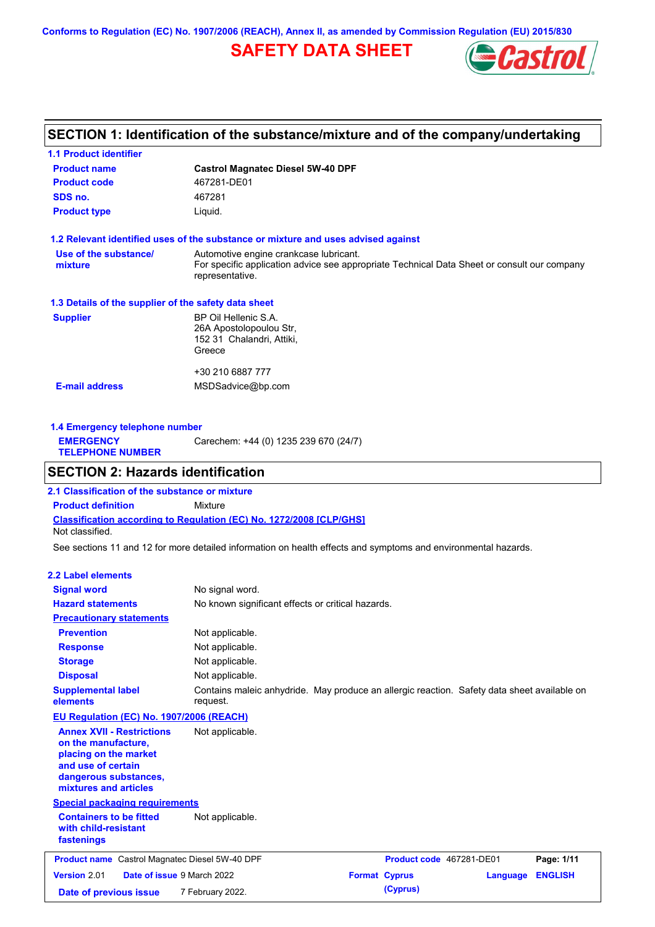**Conforms to Regulation (EC) No. 1907/2006 (REACH), Annex II, as amended by Commission Regulation (EU) 2015/830**

# **SAFETY DATA SHEET**



# **SECTION 1: Identification of the substance/mixture and of the company/undertaking**

| <b>1.1 Product identifier</b>                        |                                                                                                                                                          |
|------------------------------------------------------|----------------------------------------------------------------------------------------------------------------------------------------------------------|
| <b>Product name</b>                                  | <b>Castrol Magnatec Diesel 5W-40 DPF</b>                                                                                                                 |
| <b>Product code</b>                                  | 467281-DE01                                                                                                                                              |
| SDS no.                                              | 467281                                                                                                                                                   |
| <b>Product type</b>                                  | Liquid.                                                                                                                                                  |
|                                                      | 1.2 Relevant identified uses of the substance or mixture and uses advised against                                                                        |
| Use of the substance/<br>mixture                     | Automotive engine crankcase lubricant.<br>For specific application advice see appropriate Technical Data Sheet or consult our company<br>representative. |
| 1.3 Details of the supplier of the safety data sheet |                                                                                                                                                          |
| <b>Supplier</b>                                      | BP Oil Hellenic S.A.<br>26A Apostolopoulou Str.<br>152 31 Chalandri, Attiki,<br>Greece                                                                   |
| <b>E-mail address</b>                                | +30 210 6887 777<br>MSDSadvice@bp.com                                                                                                                    |
|                                                      |                                                                                                                                                          |

| Carechem: +44 (0) 1235 239 670 (24/7)<br><b>EMERGENCY</b><br><b>TELEPHONE NUMBER</b> | 1.4 Emergency telephone number |  |  |  |  |
|--------------------------------------------------------------------------------------|--------------------------------|--|--|--|--|
|                                                                                      |                                |  |  |  |  |

# **SECTION 2: Hazards identification**

**Classification according to Regulation (EC) No. 1272/2008 [CLP/GHS] 2.1 Classification of the substance or mixture Product definition** Mixture Not classified.

See sections 11 and 12 for more detailed information on health effects and symptoms and environmental hazards.

### **2.2 Label elements**

| <b>Signal word</b>                                                                                                                                       | No signal word.                                                                                         |                      |                          |          |                |
|----------------------------------------------------------------------------------------------------------------------------------------------------------|---------------------------------------------------------------------------------------------------------|----------------------|--------------------------|----------|----------------|
| <b>Hazard statements</b>                                                                                                                                 | No known significant effects or critical hazards.                                                       |                      |                          |          |                |
| <b>Precautionary statements</b>                                                                                                                          |                                                                                                         |                      |                          |          |                |
| <b>Prevention</b>                                                                                                                                        | Not applicable.                                                                                         |                      |                          |          |                |
| <b>Response</b>                                                                                                                                          | Not applicable.                                                                                         |                      |                          |          |                |
| <b>Storage</b>                                                                                                                                           | Not applicable.                                                                                         |                      |                          |          |                |
| <b>Disposal</b>                                                                                                                                          | Not applicable.                                                                                         |                      |                          |          |                |
| <b>Supplemental label</b><br>elements                                                                                                                    | Contains maleic anhydride. May produce an allergic reaction. Safety data sheet available on<br>request. |                      |                          |          |                |
| EU Regulation (EC) No. 1907/2006 (REACH)                                                                                                                 |                                                                                                         |                      |                          |          |                |
| <b>Annex XVII - Restrictions</b><br>on the manufacture,<br>placing on the market<br>and use of certain<br>dangerous substances,<br>mixtures and articles | Not applicable.                                                                                         |                      |                          |          |                |
| <b>Special packaging requirements</b>                                                                                                                    |                                                                                                         |                      |                          |          |                |
| <b>Containers to be fitted</b><br>with child-resistant<br>fastenings                                                                                     | Not applicable.                                                                                         |                      |                          |          |                |
| <b>Product name</b> Castrol Magnatec Diesel 5W-40 DPF                                                                                                    |                                                                                                         |                      | Product code 467281-DE01 |          | Page: 1/11     |
| Version 2.01<br>Date of issue 9 March 2022                                                                                                               |                                                                                                         | <b>Format Cyprus</b> |                          | Language | <b>ENGLISH</b> |
| Date of previous issue                                                                                                                                   | 7 February 2022.                                                                                        |                      | (Cyprus)                 |          |                |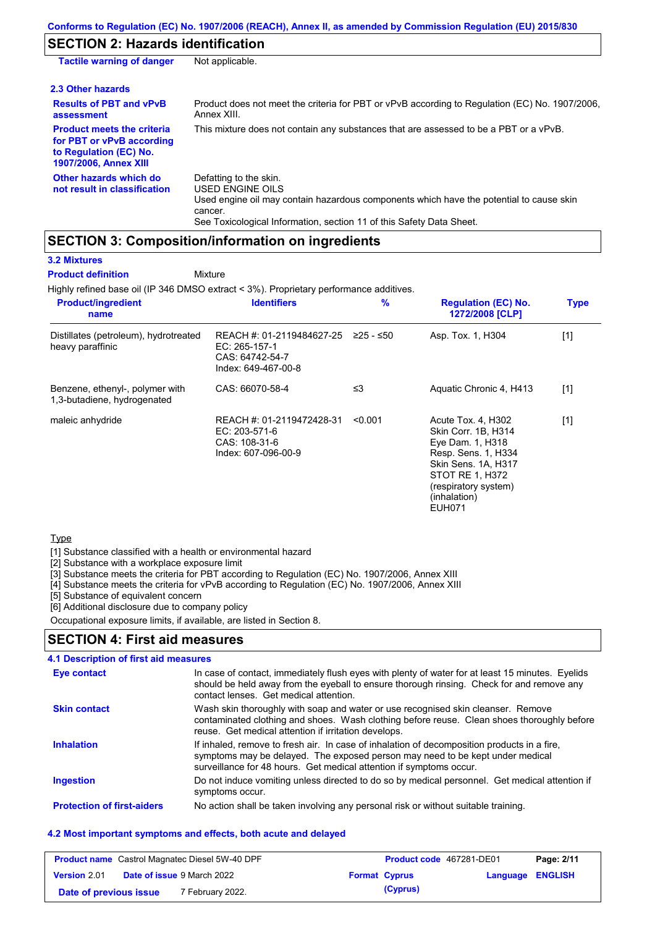# **SECTION 2: Hazards identification**

| <b>Tactile warning of danger</b>                                                                                         | Not applicable.                                                                                                                                                                                                          |
|--------------------------------------------------------------------------------------------------------------------------|--------------------------------------------------------------------------------------------------------------------------------------------------------------------------------------------------------------------------|
| 2.3 Other hazards                                                                                                        |                                                                                                                                                                                                                          |
| <b>Results of PBT and vPvB</b><br>assessment                                                                             | Product does not meet the criteria for PBT or vPvB according to Regulation (EC) No. 1907/2006.<br>Annex XIII.                                                                                                            |
| <b>Product meets the criteria</b><br>for PBT or vPvB according<br>to Regulation (EC) No.<br><b>1907/2006, Annex XIII</b> | This mixture does not contain any substances that are assessed to be a PBT or a vPvB.                                                                                                                                    |
| Other hazards which do<br>not result in classification                                                                   | Defatting to the skin.<br>USED ENGINE OILS<br>Used engine oil may contain hazardous components which have the potential to cause skin<br>cancer.<br>See Toxicological Information, section 11 of this Safety Data Sheet. |

## **SECTION 3: Composition/information on ingredients**

### **3.2 Mixtures**

**Mixture Product definition**

Highly refined base oil (IP 346 DMSO extract < 3%). Proprietary performance additives.

| <b>Product/ingredient</b><br>name                              | <b>Identifiers</b>                                                                   | %         | <b>Regulation (EC) No.</b><br>1272/2008 [CLP]                                                                                                                                           | <b>Type</b> |
|----------------------------------------------------------------|--------------------------------------------------------------------------------------|-----------|-----------------------------------------------------------------------------------------------------------------------------------------------------------------------------------------|-------------|
| Distillates (petroleum), hydrotreated<br>heavy paraffinic      | REACH #: 01-2119484627-25<br>EC: 265-157-1<br>CAS: 64742-54-7<br>Index: 649-467-00-8 | 225 - ≤50 | Asp. Tox. 1, H304                                                                                                                                                                       | $[1]$       |
| Benzene, ethenyl-, polymer with<br>1,3-butadiene, hydrogenated | CAS: 66070-58-4                                                                      | ≤3        | Aquatic Chronic 4, H413                                                                                                                                                                 | $[1]$       |
| maleic anhydride                                               | REACH #: 01-2119472428-31<br>EC: 203-571-6<br>CAS: 108-31-6<br>Index: 607-096-00-9   | < 0.001   | Acute Tox. 4, H302<br>Skin Corr. 1B, H314<br>Eye Dam. 1, H318<br>Resp. Sens. 1, H334<br>Skin Sens. 1A, H317<br>STOT RE 1, H372<br>(respiratory system)<br>(inhalation)<br><b>EUH071</b> | $[1]$       |

### **Type**

[1] Substance classified with a health or environmental hazard

[2] Substance with a workplace exposure limit

[3] Substance meets the criteria for PBT according to Regulation (EC) No. 1907/2006, Annex XIII

[4] Substance meets the criteria for vPvB according to Regulation (EC) No. 1907/2006, Annex XIII

[5] Substance of equivalent concern

[6] Additional disclosure due to company policy

Occupational exposure limits, if available, are listed in Section 8.

### **SECTION 4: First aid measures**

### **4.1 Description of first aid measures**

| <b>Eye contact</b>                | In case of contact, immediately flush eyes with plenty of water for at least 15 minutes. Eyelids<br>should be held away from the eyeball to ensure thorough rinsing. Check for and remove any<br>contact lenses. Get medical attention.             |
|-----------------------------------|-----------------------------------------------------------------------------------------------------------------------------------------------------------------------------------------------------------------------------------------------------|
| <b>Skin contact</b>               | Wash skin thoroughly with soap and water or use recognised skin cleanser. Remove<br>contaminated clothing and shoes. Wash clothing before reuse. Clean shoes thoroughly before<br>reuse. Get medical attention if irritation develops.              |
| <b>Inhalation</b>                 | If inhaled, remove to fresh air. In case of inhalation of decomposition products in a fire,<br>symptoms may be delayed. The exposed person may need to be kept under medical<br>surveillance for 48 hours. Get medical attention if symptoms occur. |
| <b>Ingestion</b>                  | Do not induce vomiting unless directed to do so by medical personnel. Get medical attention if<br>symptoms occur.                                                                                                                                   |
| <b>Protection of first-aiders</b> | No action shall be taken involving any personal risk or without suitable training.                                                                                                                                                                  |

### **4.2 Most important symptoms and effects, both acute and delayed**

| <b>Product name</b> Castrol Magnatec Diesel 5W-40 DPF |  |                                   | <b>Product code</b> 467281-DE01 |          | Page: 2/11              |  |
|-------------------------------------------------------|--|-----------------------------------|---------------------------------|----------|-------------------------|--|
| <b>Version 2.01</b>                                   |  | <b>Date of issue 9 March 2022</b> | <b>Format Cyprus</b>            |          | <b>Language ENGLISH</b> |  |
| Date of previous issue                                |  | 7 February 2022.                  |                                 | (Cyprus) |                         |  |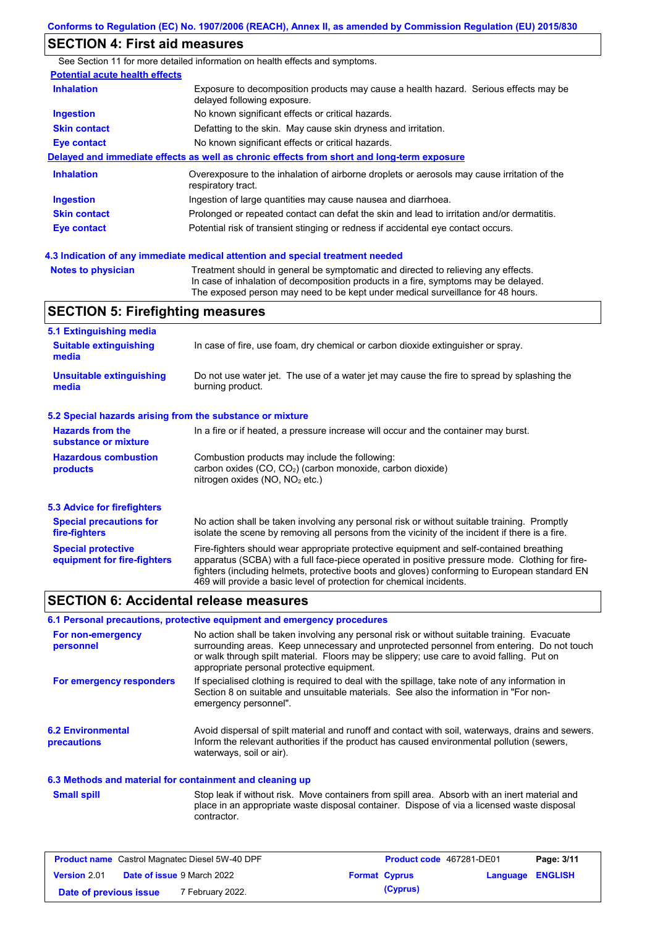## **SECTION 4: First aid measures**

See Section 11 for more detailed information on health effects and symptoms. **Potential acute health effects Inhalation** Exposure to decomposition products may cause a health hazard. Serious effects may be delayed following exposure. **Ingestion** No known significant effects or critical hazards. **Skin contact** Defatting to the skin. May cause skin dryness and irritation. **Eye contact** No known significant effects or critical hazards. **Delayed and immediate effects as well as chronic effects from short and long-term exposure Inhalation Ingestion Skin contact Eye contact** Overexposure to the inhalation of airborne droplets or aerosols may cause irritation of the respiratory tract. Ingestion of large quantities may cause nausea and diarrhoea. Prolonged or repeated contact can defat the skin and lead to irritation and/or dermatitis. Potential risk of transient stinging or redness if accidental eye contact occurs.

**4.3 Indication of any immediate medical attention and special treatment needed**

| Treatment should in general be symptomatic and directed to relieving any effects.   |
|-------------------------------------------------------------------------------------|
| In case of inhalation of decomposition products in a fire, symptoms may be delayed. |
| The exposed person may need to be kept under medical surveillance for 48 hours.     |
|                                                                                     |

## **SECTION 5: Firefighting measures**

| 5.1 Extinguishing media                                   |                                                                                                                                                                                                                                                                                                                                                                   |  |  |  |
|-----------------------------------------------------------|-------------------------------------------------------------------------------------------------------------------------------------------------------------------------------------------------------------------------------------------------------------------------------------------------------------------------------------------------------------------|--|--|--|
| <b>Suitable extinguishing</b><br>media                    | In case of fire, use foam, dry chemical or carbon dioxide extinguisher or spray.                                                                                                                                                                                                                                                                                  |  |  |  |
| <b>Unsuitable extinguishing</b><br>media                  | Do not use water jet. The use of a water jet may cause the fire to spread by splashing the<br>burning product.                                                                                                                                                                                                                                                    |  |  |  |
| 5.2 Special hazards arising from the substance or mixture |                                                                                                                                                                                                                                                                                                                                                                   |  |  |  |
| <b>Hazards from the</b><br>substance or mixture           | In a fire or if heated, a pressure increase will occur and the container may burst.                                                                                                                                                                                                                                                                               |  |  |  |
| <b>Hazardous combustion</b><br>products                   | Combustion products may include the following:<br>carbon oxides $(CO, CO2)$ (carbon monoxide, carbon dioxide)<br>nitrogen oxides ( $NO$ , $NO2$ etc.)                                                                                                                                                                                                             |  |  |  |
| 5.3 Advice for firefighters                               |                                                                                                                                                                                                                                                                                                                                                                   |  |  |  |
| <b>Special precautions for</b><br>fire-fighters           | No action shall be taken involving any personal risk or without suitable training. Promptly<br>isolate the scene by removing all persons from the vicinity of the incident if there is a fire.                                                                                                                                                                    |  |  |  |
| <b>Special protective</b><br>equipment for fire-fighters  | Fire-fighters should wear appropriate protective equipment and self-contained breathing<br>apparatus (SCBA) with a full face-piece operated in positive pressure mode. Clothing for fire-<br>fighters (including helmets, protective boots and gloves) conforming to European standard EN<br>469 will provide a basic level of protection for chemical incidents. |  |  |  |

### **SECTION 6: Accidental release measures**

#### **6.1 Personal precautions, protective equipment and emergency procedures**

| For non-emergency<br>personnel                 | No action shall be taken involving any personal risk or without suitable training. Evacuate<br>surrounding areas. Keep unnecessary and unprotected personnel from entering. Do not touch<br>or walk through spilt material. Floors may be slippery; use care to avoid falling. Put on<br>appropriate personal protective equipment. |
|------------------------------------------------|-------------------------------------------------------------------------------------------------------------------------------------------------------------------------------------------------------------------------------------------------------------------------------------------------------------------------------------|
| For emergency responders                       | If specialised clothing is required to deal with the spillage, take note of any information in<br>Section 8 on suitable and unsuitable materials. See also the information in "For non-<br>emergency personnel".                                                                                                                    |
| <b>6.2 Environmental</b><br><b>precautions</b> | Avoid dispersal of spilt material and runoff and contact with soil, waterways, drains and sewers.<br>Inform the relevant authorities if the product has caused environmental pollution (sewers,<br>waterways, soil or air).                                                                                                         |

#### **6.3 Methods and material for containment and cleaning up**

Stop leak if without risk. Move containers from spill area. Absorb with an inert material and place in an appropriate waste disposal container. Dispose of via a licensed waste disposal contractor. **Small spill**

| <b>Product name</b> Castrol Magnatec Diesel 5W-40 DPF |  |                                   | Product code 467281-DE01 |                      | Page: 3/11              |  |
|-------------------------------------------------------|--|-----------------------------------|--------------------------|----------------------|-------------------------|--|
| <b>Version 2.01</b>                                   |  | <b>Date of issue 9 March 2022</b> |                          | <b>Format Cyprus</b> | <b>Language ENGLISH</b> |  |
| Date of previous issue                                |  | 7 February 2022.                  |                          | (Cyprus)             |                         |  |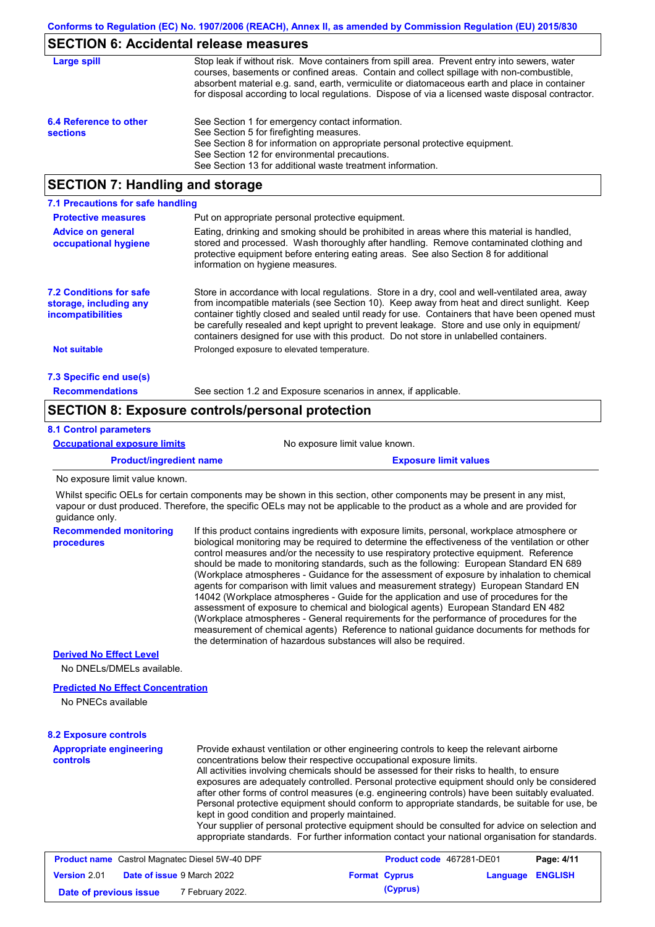## **SECTION 6: Accidental release measures**

| Large spill                               | Stop leak if without risk. Move containers from spill area. Prevent entry into sewers, water<br>courses, basements or confined areas. Contain and collect spillage with non-combustible,<br>absorbent material e.g. sand, earth, vermiculite or diatomaceous earth and place in container<br>for disposal according to local regulations. Dispose of via a licensed waste disposal contractor. |
|-------------------------------------------|------------------------------------------------------------------------------------------------------------------------------------------------------------------------------------------------------------------------------------------------------------------------------------------------------------------------------------------------------------------------------------------------|
| 6.4 Reference to other<br><b>sections</b> | See Section 1 for emergency contact information.<br>See Section 5 for firefighting measures.<br>See Section 8 for information on appropriate personal protective equipment.<br>See Section 12 for environmental precautions.<br>See Section 13 for additional waste treatment information.                                                                                                     |

## **SECTION 7: Handling and storage**

| 7.1 Precautions for safe handling                                                    |                                                                                                                                                                                                                                                                                                                                                                                                                                                                                          |
|--------------------------------------------------------------------------------------|------------------------------------------------------------------------------------------------------------------------------------------------------------------------------------------------------------------------------------------------------------------------------------------------------------------------------------------------------------------------------------------------------------------------------------------------------------------------------------------|
| <b>Protective measures</b>                                                           | Put on appropriate personal protective equipment.                                                                                                                                                                                                                                                                                                                                                                                                                                        |
| <b>Advice on general</b><br>occupational hygiene                                     | Eating, drinking and smoking should be prohibited in areas where this material is handled,<br>stored and processed. Wash thoroughly after handling. Remove contaminated clothing and<br>protective equipment before entering eating areas. See also Section 8 for additional<br>information on hygiene measures.                                                                                                                                                                         |
| <b>7.2 Conditions for safe</b><br>storage, including any<br><i>incompatibilities</i> | Store in accordance with local requiations. Store in a dry, cool and well-ventilated area, away<br>from incompatible materials (see Section 10). Keep away from heat and direct sunlight. Keep<br>container tightly closed and sealed until ready for use. Containers that have been opened must<br>be carefully resealed and kept upright to prevent leakage. Store and use only in equipment/<br>containers designed for use with this product. Do not store in unlabelled containers. |
| <b>Not suitable</b>                                                                  | Prolonged exposure to elevated temperature.                                                                                                                                                                                                                                                                                                                                                                                                                                              |
| 7.3 Specific end use(s)                                                              |                                                                                                                                                                                                                                                                                                                                                                                                                                                                                          |
| <b>Recommendations</b>                                                               | See section 1.2 and Exposure scenarios in annex, if applicable.                                                                                                                                                                                                                                                                                                                                                                                                                          |

## **SECTION 8: Exposure controls/personal protection**

### **8.1 Control parameters**

| <b>Occupational exposure limits</b> | No exposure limit value known.                                                                                        |  |  |  |  |
|-------------------------------------|-----------------------------------------------------------------------------------------------------------------------|--|--|--|--|
| <b>Product/ingredient name</b>      | <b>Exposure limit values</b>                                                                                          |  |  |  |  |
| No exposure limit value known.      |                                                                                                                       |  |  |  |  |
|                                     | Whilst specific OFI s for certain components may be shown in this section other components may be present in any mist |  |  |  |  |

Whilst specific OELs for certain components may be shown in this section, other components may be present in any mist, vapour or dust produced. Therefore, the specific OELs may not be applicable to the product as a whole and are provided for guidance only.

| <b>Recommended monitoring</b><br>procedures | If this product contains ingredients with exposure limits, personal, workplace atmosphere or<br>biological monitoring may be required to determine the effectiveness of the ventilation or other<br>control measures and/or the necessity to use respiratory protective equipment. Reference<br>should be made to monitoring standards, such as the following: European Standard EN 689<br>(Workplace atmospheres - Guidance for the assessment of exposure by inhalation to chemical<br>agents for comparison with limit values and measurement strategy) European Standard EN<br>14042 (Workplace atmospheres - Guide for the application and use of procedures for the<br>assessment of exposure to chemical and biological agents) European Standard EN 482<br>(Workplace atmospheres - General requirements for the performance of procedures for the<br>measurement of chemical agents) Reference to national quidance documents for methods for<br>the determination of hazardous substances will also be required. |
|---------------------------------------------|----------------------------------------------------------------------------------------------------------------------------------------------------------------------------------------------------------------------------------------------------------------------------------------------------------------------------------------------------------------------------------------------------------------------------------------------------------------------------------------------------------------------------------------------------------------------------------------------------------------------------------------------------------------------------------------------------------------------------------------------------------------------------------------------------------------------------------------------------------------------------------------------------------------------------------------------------------------------------------------------------------------------------|
| <b>Derived No Effect Level</b>              |                                                                                                                                                                                                                                                                                                                                                                                                                                                                                                                                                                                                                                                                                                                                                                                                                                                                                                                                                                                                                            |
| <b>ALCOMEDIATORIES ALCOHOL</b>              |                                                                                                                                                                                                                                                                                                                                                                                                                                                                                                                                                                                                                                                                                                                                                                                                                                                                                                                                                                                                                            |
|                                             |                                                                                                                                                                                                                                                                                                                                                                                                                                                                                                                                                                                                                                                                                                                                                                                                                                                                                                                                                                                                                            |

No DNELs/DMELs available.

#### **Predicted No Effect Concentration**

No PNECs available

### **8.2 Exposure controls**

**Appropriate engineering controls** Provide exhaust ventilation or other engineering controls to keep the relevant airborne concentrations below their respective occupational exposure limits. All activities involving chemicals should be assessed for their risks to health, to ensure exposures are adequately controlled. Personal protective equipment should only be considered after other forms of control measures (e.g. engineering controls) have been suitably evaluated. Personal protective equipment should conform to appropriate standards, be suitable for use, be kept in good condition and properly maintained. Your supplier of personal protective equipment should be consulted for advice on selection and appropriate standards. For further information contact your national organisation for standards.

| <b>Product name</b> Castrol Magnatec Diesel 5W-40 DPF |  |                                   | <b>Product code</b> 467281-DE01 | Page: 4/11           |                         |  |
|-------------------------------------------------------|--|-----------------------------------|---------------------------------|----------------------|-------------------------|--|
| Version 2.01                                          |  | <b>Date of issue 9 March 2022</b> |                                 | <b>Format Cyprus</b> | <b>Language ENGLISH</b> |  |
| Date of previous issue                                |  | <sup>7</sup> February 2022.       |                                 | (Cyprus)             |                         |  |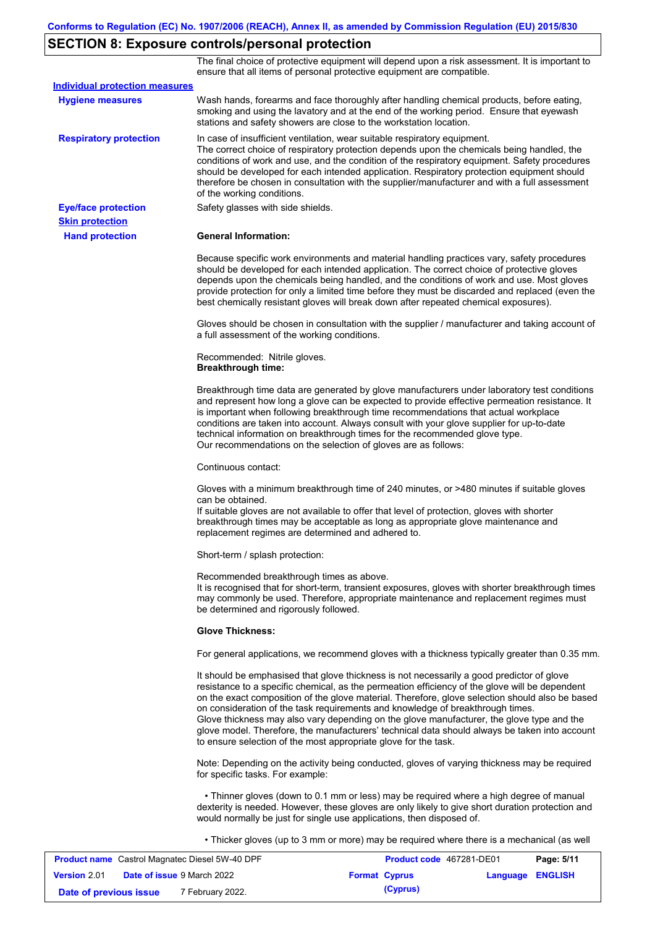# **SECTION 8: Exposure controls/personal protection**

The final choice of protective equipment will depend upon a risk assessment. It is important to ensure that all items of personal protective equipment are compatible.

| <b>Individual protection measures</b> |                                                                                                                                                                                                                                                                                                                                                                                                                                                                                                                                                                                                                                                   |
|---------------------------------------|---------------------------------------------------------------------------------------------------------------------------------------------------------------------------------------------------------------------------------------------------------------------------------------------------------------------------------------------------------------------------------------------------------------------------------------------------------------------------------------------------------------------------------------------------------------------------------------------------------------------------------------------------|
| <b>Hygiene measures</b>               | Wash hands, forearms and face thoroughly after handling chemical products, before eating,<br>smoking and using the lavatory and at the end of the working period. Ensure that eyewash<br>stations and safety showers are close to the workstation location.                                                                                                                                                                                                                                                                                                                                                                                       |
| <b>Respiratory protection</b>         | In case of insufficient ventilation, wear suitable respiratory equipment.<br>The correct choice of respiratory protection depends upon the chemicals being handled, the<br>conditions of work and use, and the condition of the respiratory equipment. Safety procedures<br>should be developed for each intended application. Respiratory protection equipment should<br>therefore be chosen in consultation with the supplier/manufacturer and with a full assessment<br>of the working conditions.                                                                                                                                             |
| <b>Eye/face protection</b>            | Safety glasses with side shields.                                                                                                                                                                                                                                                                                                                                                                                                                                                                                                                                                                                                                 |
| <b>Skin protection</b>                |                                                                                                                                                                                                                                                                                                                                                                                                                                                                                                                                                                                                                                                   |
| <b>Hand protection</b>                | <b>General Information:</b>                                                                                                                                                                                                                                                                                                                                                                                                                                                                                                                                                                                                                       |
|                                       | Because specific work environments and material handling practices vary, safety procedures<br>should be developed for each intended application. The correct choice of protective gloves<br>depends upon the chemicals being handled, and the conditions of work and use. Most gloves<br>provide protection for only a limited time before they must be discarded and replaced (even the<br>best chemically resistant gloves will break down after repeated chemical exposures).                                                                                                                                                                  |
|                                       | Gloves should be chosen in consultation with the supplier / manufacturer and taking account of<br>a full assessment of the working conditions.                                                                                                                                                                                                                                                                                                                                                                                                                                                                                                    |
|                                       | Recommended: Nitrile gloves.<br><b>Breakthrough time:</b>                                                                                                                                                                                                                                                                                                                                                                                                                                                                                                                                                                                         |
|                                       | Breakthrough time data are generated by glove manufacturers under laboratory test conditions<br>and represent how long a glove can be expected to provide effective permeation resistance. It<br>is important when following breakthrough time recommendations that actual workplace<br>conditions are taken into account. Always consult with your glove supplier for up-to-date<br>technical information on breakthrough times for the recommended glove type.<br>Our recommendations on the selection of gloves are as follows:                                                                                                                |
|                                       | Continuous contact:                                                                                                                                                                                                                                                                                                                                                                                                                                                                                                                                                                                                                               |
|                                       | Gloves with a minimum breakthrough time of 240 minutes, or >480 minutes if suitable gloves<br>can be obtained.<br>If suitable gloves are not available to offer that level of protection, gloves with shorter<br>breakthrough times may be acceptable as long as appropriate glove maintenance and<br>replacement regimes are determined and adhered to.                                                                                                                                                                                                                                                                                          |
|                                       | Short-term / splash protection:                                                                                                                                                                                                                                                                                                                                                                                                                                                                                                                                                                                                                   |
|                                       | Recommended breakthrough times as above.<br>It is recognised that for short-term, transient exposures, gloves with shorter breakthrough times<br>may commonly be used. Therefore, appropriate maintenance and replacement regimes must<br>be determined and rigorously followed.                                                                                                                                                                                                                                                                                                                                                                  |
|                                       | <b>Glove Thickness:</b>                                                                                                                                                                                                                                                                                                                                                                                                                                                                                                                                                                                                                           |
|                                       | For general applications, we recommend gloves with a thickness typically greater than 0.35 mm.                                                                                                                                                                                                                                                                                                                                                                                                                                                                                                                                                    |
|                                       | It should be emphasised that glove thickness is not necessarily a good predictor of glove<br>resistance to a specific chemical, as the permeation efficiency of the glove will be dependent<br>on the exact composition of the glove material. Therefore, glove selection should also be based<br>on consideration of the task requirements and knowledge of breakthrough times.<br>Glove thickness may also vary depending on the glove manufacturer, the glove type and the<br>glove model. Therefore, the manufacturers' technical data should always be taken into account<br>to ensure selection of the most appropriate glove for the task. |
|                                       | Note: Depending on the activity being conducted, gloves of varying thickness may be required<br>for specific tasks. For example:                                                                                                                                                                                                                                                                                                                                                                                                                                                                                                                  |
|                                       | • Thinner gloves (down to 0.1 mm or less) may be required where a high degree of manual<br>dexterity is needed. However, these gloves are only likely to give short duration protection and<br>would normally be just for single use applications, then disposed of.                                                                                                                                                                                                                                                                                                                                                                              |
|                                       | • Thicker gloves (up to 3 mm or more) may be required where there is a mechanical (as well                                                                                                                                                                                                                                                                                                                                                                                                                                                                                                                                                        |

| <b>Product name</b> Castrol Magnatec Diesel 5W-40 DPF |  |                                   | Product code 467281-DE01 | Page: 5/11           |                         |  |
|-------------------------------------------------------|--|-----------------------------------|--------------------------|----------------------|-------------------------|--|
| <b>Version 2.01</b>                                   |  | <b>Date of issue 9 March 2022</b> |                          | <b>Format Cyprus</b> | <b>Language ENGLISH</b> |  |
| Date of previous issue                                |  | 7 February 2022.                  |                          | (Cyprus)             |                         |  |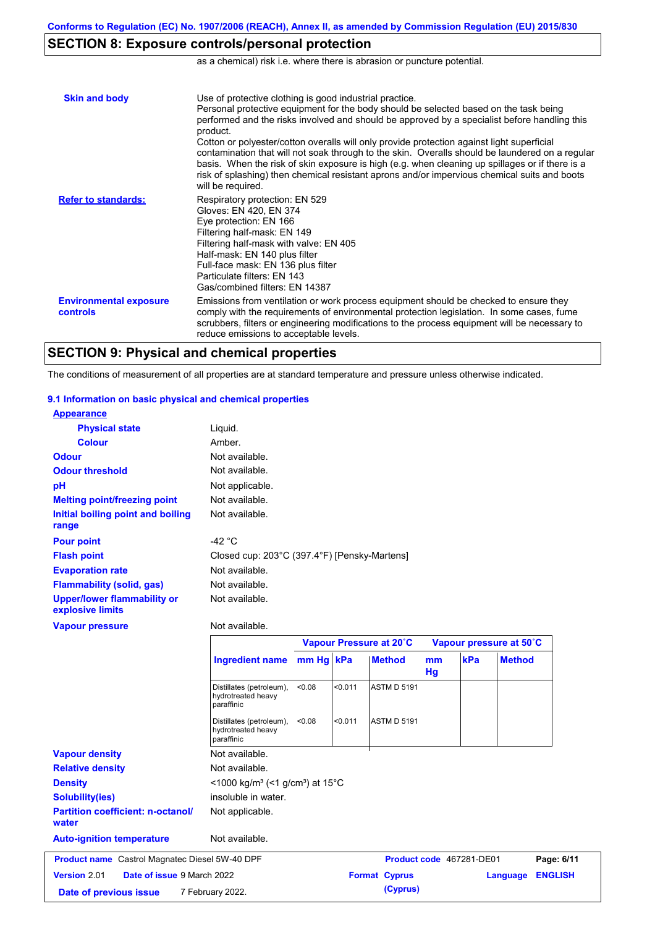# **SECTION 8: Exposure controls/personal protection**

as a chemical) risk i.e. where there is abrasion or puncture potential.

| <b>Skin and body</b>                      | Use of protective clothing is good industrial practice.<br>Personal protective equipment for the body should be selected based on the task being<br>performed and the risks involved and should be approved by a specialist before handling this<br>product.<br>Cotton or polyester/cotton overalls will only provide protection against light superficial<br>contamination that will not soak through to the skin. Overalls should be laundered on a regular<br>basis. When the risk of skin exposure is high (e.g. when cleaning up spillages or if there is a<br>risk of splashing) then chemical resistant aprons and/or impervious chemical suits and boots<br>will be required. |
|-------------------------------------------|---------------------------------------------------------------------------------------------------------------------------------------------------------------------------------------------------------------------------------------------------------------------------------------------------------------------------------------------------------------------------------------------------------------------------------------------------------------------------------------------------------------------------------------------------------------------------------------------------------------------------------------------------------------------------------------|
| <b>Refer to standards:</b>                | Respiratory protection: EN 529<br>Gloves: EN 420, EN 374<br>Eye protection: EN 166<br>Filtering half-mask: EN 149<br>Filtering half-mask with valve: EN 405<br>Half-mask: EN 140 plus filter<br>Full-face mask: EN 136 plus filter<br>Particulate filters: EN 143<br>Gas/combined filters: EN 14387                                                                                                                                                                                                                                                                                                                                                                                   |
| <b>Environmental exposure</b><br>controls | Emissions from ventilation or work process equipment should be checked to ensure they<br>comply with the requirements of environmental protection legislation. In some cases, fume<br>scrubbers, filters or engineering modifications to the process equipment will be necessary to<br>reduce emissions to acceptable levels.                                                                                                                                                                                                                                                                                                                                                         |

# **SECTION 9: Physical and chemical properties**

The conditions of measurement of all properties are at standard temperature and pressure unless otherwise indicated.

### **9.1 Information on basic physical and chemical properties**

| <b>Appearance</b>                                      |                                                              |        |         |                          |          |     |                            |  |
|--------------------------------------------------------|--------------------------------------------------------------|--------|---------|--------------------------|----------|-----|----------------------------|--|
| <b>Physical state</b>                                  | Liquid.                                                      |        |         |                          |          |     |                            |  |
| <b>Colour</b>                                          | Amber.                                                       |        |         |                          |          |     |                            |  |
| <b>Odour</b>                                           | Not available.                                               |        |         |                          |          |     |                            |  |
| <b>Odour threshold</b>                                 | Not available.                                               |        |         |                          |          |     |                            |  |
| pH                                                     | Not applicable.                                              |        |         |                          |          |     |                            |  |
| <b>Melting point/freezing point</b>                    | Not available.                                               |        |         |                          |          |     |                            |  |
| Initial boiling point and boiling<br>range             | Not available.                                               |        |         |                          |          |     |                            |  |
| <b>Pour point</b>                                      | -42 $\degree$ C                                              |        |         |                          |          |     |                            |  |
| <b>Flash point</b>                                     | Closed cup: 203°C (397.4°F) [Pensky-Martens]                 |        |         |                          |          |     |                            |  |
| <b>Evaporation rate</b>                                | Not available.                                               |        |         |                          |          |     |                            |  |
| <b>Flammability (solid, gas)</b>                       | Not available.                                               |        |         |                          |          |     |                            |  |
| <b>Upper/lower flammability or</b><br>explosive limits | Not available.                                               |        |         |                          |          |     |                            |  |
| <b>Vapour pressure</b>                                 | Not available.                                               |        |         |                          |          |     |                            |  |
|                                                        |                                                              |        |         | Vapour Pressure at 20°C  |          |     | Vapour pressure at 50°C    |  |
|                                                        | <b>Ingredient name</b>                                       | mm Hg  | kPa     | <b>Method</b>            | mm<br>Hg | kPa | <b>Method</b>              |  |
|                                                        | Distillates (petroleum),                                     | < 0.08 | < 0.011 | <b>ASTM D 5191</b>       |          |     |                            |  |
|                                                        | hydrotreated heavy<br>paraffinic                             |        |         |                          |          |     |                            |  |
|                                                        | Distillates (petroleum),<br>hydrotreated heavy<br>paraffinic | < 0.08 | < 0.011 | <b>ASTM D 5191</b>       |          |     |                            |  |
| <b>Vapour density</b>                                  | Not available.                                               |        |         |                          |          |     |                            |  |
| <b>Relative density</b>                                | Not available.                                               |        |         |                          |          |     |                            |  |
| <b>Density</b>                                         | <1000 kg/m <sup>3</sup> (<1 g/cm <sup>3</sup> ) at 15°C      |        |         |                          |          |     |                            |  |
| <b>Solubility(ies)</b>                                 | insoluble in water.                                          |        |         |                          |          |     |                            |  |
| <b>Partition coefficient: n-octanol/</b><br>water      | Not applicable.                                              |        |         |                          |          |     |                            |  |
| <b>Auto-ignition temperature</b>                       | Not available.                                               |        |         |                          |          |     |                            |  |
| <b>Product name</b> Castrol Magnatec Diesel 5W-40 DPF  |                                                              |        |         | Product code 467281-DE01 |          |     | Page: 6/11                 |  |
| <b>Version 2.01</b><br>Date of issue 9 March 2022      |                                                              |        |         | <b>Format Cyprus</b>     |          |     | <b>ENGLISH</b><br>Language |  |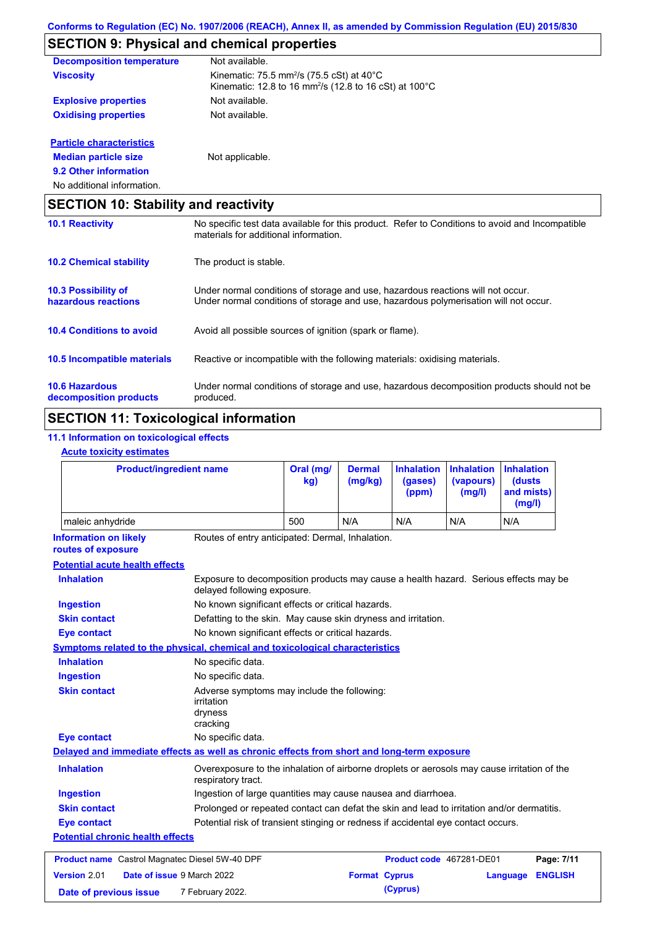# **SECTION 9: Physical and chemical properties**

| <b>Decomposition temperature</b> | Not available.                                                                                                                                    |
|----------------------------------|---------------------------------------------------------------------------------------------------------------------------------------------------|
| <b>Viscosity</b>                 | Kinematic: 75.5 mm <sup>2</sup> /s (75.5 cSt) at 40 $^{\circ}$ C<br>Kinematic: 12.8 to 16 mm <sup>2</sup> /s (12.8 to 16 cSt) at 100 $^{\circ}$ C |
| <b>Explosive properties</b>      | Not available.                                                                                                                                    |
| <b>Oxidising properties</b>      | Not available.                                                                                                                                    |
| <b>Particle characteristics</b>  |                                                                                                                                                   |
|                                  |                                                                                                                                                   |

**9.2 Other information Median particle size** Not applicable.

No additional information.

| <b>SECTION 10: Stability and reactivity</b>       |                                                                                                                                                                         |  |  |  |
|---------------------------------------------------|-------------------------------------------------------------------------------------------------------------------------------------------------------------------------|--|--|--|
| <b>10.1 Reactivity</b>                            | No specific test data available for this product. Refer to Conditions to avoid and Incompatible<br>materials for additional information.                                |  |  |  |
| <b>10.2 Chemical stability</b>                    | The product is stable.                                                                                                                                                  |  |  |  |
| <b>10.3 Possibility of</b><br>hazardous reactions | Under normal conditions of storage and use, hazardous reactions will not occur.<br>Under normal conditions of storage and use, hazardous polymerisation will not occur. |  |  |  |
| <b>10.4 Conditions to avoid</b>                   | Avoid all possible sources of ignition (spark or flame).                                                                                                                |  |  |  |
| <b>10.5 Incompatible materials</b>                | Reactive or incompatible with the following materials: oxidising materials.                                                                                             |  |  |  |
| <b>10.6 Hazardous</b><br>decomposition products   | Under normal conditions of storage and use, hazardous decomposition products should not be<br>produced.                                                                 |  |  |  |

# **SECTION 11: Toxicological information**

### **11.1 Information on toxicological effects**

### **Acute toxicity estimates**

| <b>Product/ingredient name</b>                                                             |                                                                                                                     | Oral (mg/<br>kg) | <b>Dermal</b><br>(mg/kg) | <b>Inhalation</b><br>(gases)<br>(ppm) | <b>Inhalation</b><br>(vapours)<br>(mg/l) | <b>Inhalation</b><br><b>(dusts)</b><br>and mists)<br>(mg/l) |  |
|--------------------------------------------------------------------------------------------|---------------------------------------------------------------------------------------------------------------------|------------------|--------------------------|---------------------------------------|------------------------------------------|-------------------------------------------------------------|--|
| maleic anhydride                                                                           |                                                                                                                     | 500              | N/A                      | N/A                                   | N/A                                      | N/A                                                         |  |
| <b>Information on likely</b><br>routes of exposure                                         | Routes of entry anticipated: Dermal, Inhalation.                                                                    |                  |                          |                                       |                                          |                                                             |  |
| <b>Potential acute health effects</b>                                                      |                                                                                                                     |                  |                          |                                       |                                          |                                                             |  |
| <b>Inhalation</b>                                                                          | Exposure to decomposition products may cause a health hazard. Serious effects may be<br>delayed following exposure. |                  |                          |                                       |                                          |                                                             |  |
| <b>Ingestion</b>                                                                           | No known significant effects or critical hazards.                                                                   |                  |                          |                                       |                                          |                                                             |  |
| <b>Skin contact</b>                                                                        | Defatting to the skin. May cause skin dryness and irritation.                                                       |                  |                          |                                       |                                          |                                                             |  |
| <b>Eye contact</b>                                                                         | No known significant effects or critical hazards.                                                                   |                  |                          |                                       |                                          |                                                             |  |
| Symptoms related to the physical, chemical and toxicological characteristics               |                                                                                                                     |                  |                          |                                       |                                          |                                                             |  |
| <b>Inhalation</b>                                                                          | No specific data.                                                                                                   |                  |                          |                                       |                                          |                                                             |  |
| <b>Ingestion</b>                                                                           | No specific data.                                                                                                   |                  |                          |                                       |                                          |                                                             |  |
| <b>Skin contact</b>                                                                        | Adverse symptoms may include the following:<br>irritation<br>dryness<br>cracking                                    |                  |                          |                                       |                                          |                                                             |  |
| <b>Eye contact</b>                                                                         | No specific data.                                                                                                   |                  |                          |                                       |                                          |                                                             |  |
| Delayed and immediate effects as well as chronic effects from short and long-term exposure |                                                                                                                     |                  |                          |                                       |                                          |                                                             |  |
| <b>Inhalation</b>                                                                          | Overexposure to the inhalation of airborne droplets or aerosols may cause irritation of the<br>respiratory tract.   |                  |                          |                                       |                                          |                                                             |  |
| <b>Ingestion</b>                                                                           | Ingestion of large quantities may cause nausea and diarrhoea.                                                       |                  |                          |                                       |                                          |                                                             |  |
| <b>Skin contact</b>                                                                        | Prolonged or repeated contact can defat the skin and lead to irritation and/or dermatitis.                          |                  |                          |                                       |                                          |                                                             |  |
| <b>Eye contact</b>                                                                         | Potential risk of transient stinging or redness if accidental eye contact occurs.                                   |                  |                          |                                       |                                          |                                                             |  |
| <b>Potential chronic health effects</b>                                                    |                                                                                                                     |                  |                          |                                       |                                          |                                                             |  |
| <b>Product name</b> Castrol Magnatec Diesel 5W-40 DPF                                      |                                                                                                                     |                  |                          | Product code 467281-DE01              |                                          | Page: 7/11                                                  |  |
| Version 2.01<br>Date of issue 9 March 2022                                                 |                                                                                                                     |                  | <b>Format Cyprus</b>     |                                       |                                          | <b>ENGLISH</b><br>Language                                  |  |
| Date of previous issue                                                                     | 7 February 2022.                                                                                                    |                  |                          | (Cyprus)                              |                                          |                                                             |  |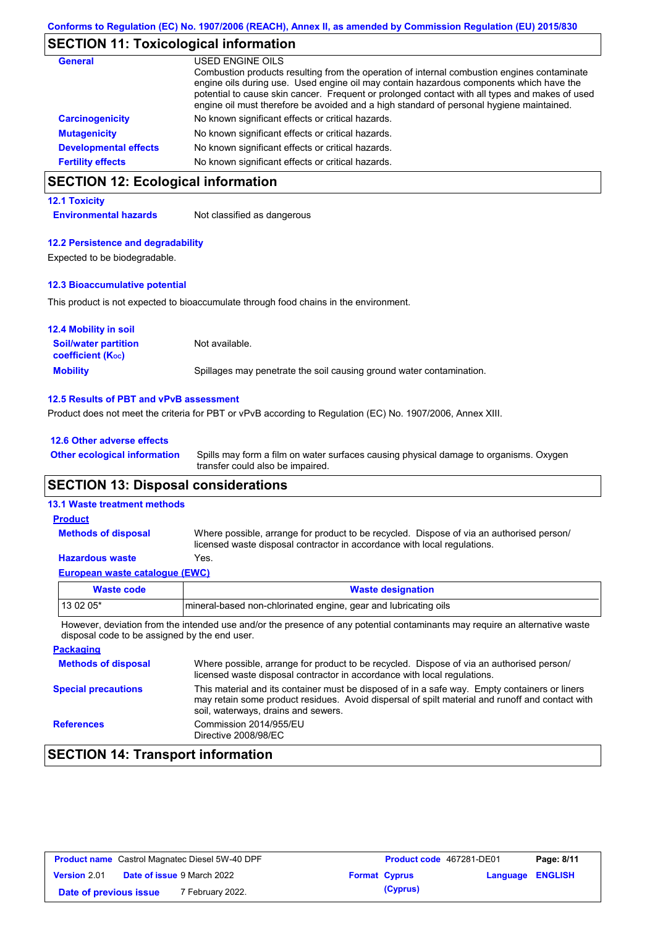## **SECTION 11: Toxicological information**

| General                      | USED ENGINE OILS                                                                                                                                                                                                                                                                                                                                                                     |
|------------------------------|--------------------------------------------------------------------------------------------------------------------------------------------------------------------------------------------------------------------------------------------------------------------------------------------------------------------------------------------------------------------------------------|
|                              | Combustion products resulting from the operation of internal combustion engines contaminate<br>engine oils during use. Used engine oil may contain hazardous components which have the<br>potential to cause skin cancer. Frequent or prolonged contact with all types and makes of used<br>engine oil must therefore be avoided and a high standard of personal hygiene maintained. |
| <b>Carcinogenicity</b>       | No known significant effects or critical hazards.                                                                                                                                                                                                                                                                                                                                    |
| <b>Mutagenicity</b>          | No known significant effects or critical hazards.                                                                                                                                                                                                                                                                                                                                    |
| <b>Developmental effects</b> | No known significant effects or critical hazards.                                                                                                                                                                                                                                                                                                                                    |
| <b>Fertility effects</b>     | No known significant effects or critical hazards.                                                                                                                                                                                                                                                                                                                                    |

# **SECTION 12: Ecological information**

### **12.1 Toxicity**

**Environmental hazards** Not classified as dangerous

#### **12.2 Persistence and degradability**

Expected to be biodegradable.

#### **12.3 Bioaccumulative potential**

This product is not expected to bioaccumulate through food chains in the environment.

| <b>12.4 Mobility in soil</b>                                  |                                                                      |
|---------------------------------------------------------------|----------------------------------------------------------------------|
| <b>Soil/water partition</b><br>coefficient (K <sub>oc</sub> ) | Not available.                                                       |
| <b>Mobility</b>                                               | Spillages may penetrate the soil causing ground water contamination. |

#### **12.5 Results of PBT and vPvB assessment**

Product does not meet the criteria for PBT or vPvB according to Regulation (EC) No. 1907/2006, Annex XIII.

#### **12.6 Other adverse effects**

Spills may form a film on water surfaces causing physical damage to organisms. Oxygen transfer could also be impaired. **Other ecological information**

### **SECTION 13: Disposal considerations**

### **13.1 Waste treatment methods**

#### Where possible, arrange for product to be recycled. Dispose of via an authorised person/ licensed waste disposal contractor in accordance with local regulations. **Methods of disposal Product**

### **Hazardous waste** Yes.

| European waste cataloque (EWC) |                                                                  |  |  |
|--------------------------------|------------------------------------------------------------------|--|--|
| Waste code                     | <b>Waste designation</b>                                         |  |  |
| l 13 02 05*                    | Imineral-based non-chlorinated engine, gear and lubricating oils |  |  |

However, deviation from the intended use and/or the presence of any potential contaminants may require an alternative waste disposal code to be assigned by the end user.

| <b>Packaging</b>           |                                                                                                                                                                                                                                         |
|----------------------------|-----------------------------------------------------------------------------------------------------------------------------------------------------------------------------------------------------------------------------------------|
| <b>Methods of disposal</b> | Where possible, arrange for product to be recycled. Dispose of via an authorised person/<br>licensed waste disposal contractor in accordance with local regulations.                                                                    |
| <b>Special precautions</b> | This material and its container must be disposed of in a safe way. Empty containers or liners<br>may retain some product residues. Avoid dispersal of spilt material and runoff and contact with<br>soil, waterways, drains and sewers. |
| <b>References</b>          | Commission 2014/955/EU<br>Directive 2008/98/EC                                                                                                                                                                                          |

# **SECTION 14: Transport information**

| <b>Product name</b> Castrol Magnatec Diesel 5W-40 DPF |                                   |                             | <b>Product code</b> 467281-DE01 | Page: 8/11           |                  |  |
|-------------------------------------------------------|-----------------------------------|-----------------------------|---------------------------------|----------------------|------------------|--|
| <b>Version 2.01</b>                                   | <b>Date of issue 9 March 2022</b> |                             |                                 | <b>Format Cyprus</b> | Language ENGLISH |  |
| Date of previous issue                                |                                   | <sup>7</sup> February 2022. |                                 | (Cyprus)             |                  |  |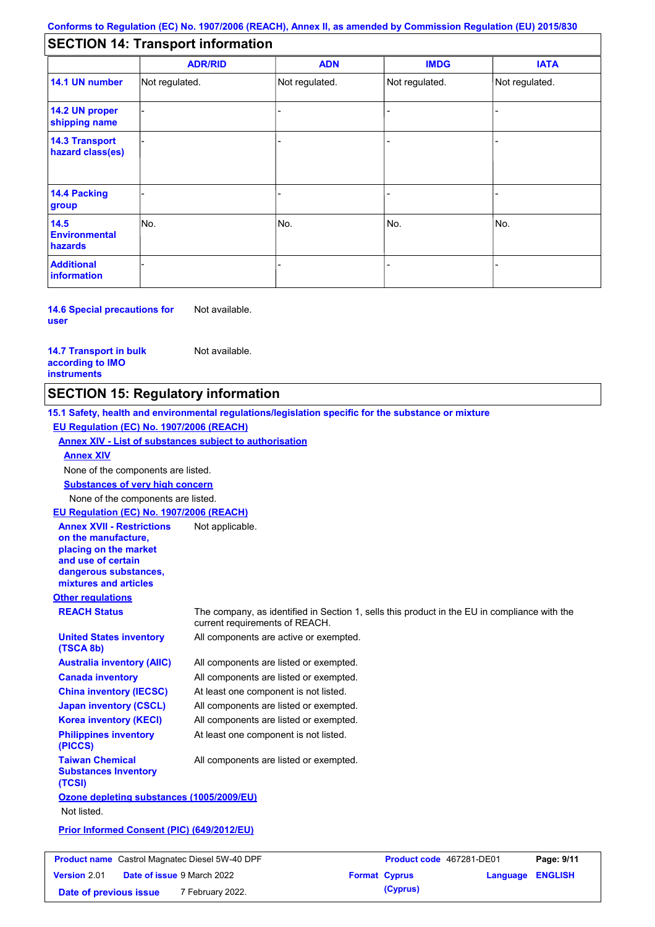# **SECTION 14: Transport information**

|                                           | <b>ADR/RID</b> | <b>ADN</b>     | <b>IMDG</b>    | <b>IATA</b>    |  |  |
|-------------------------------------------|----------------|----------------|----------------|----------------|--|--|
| 14.1 UN number                            | Not regulated. | Not regulated. | Not regulated. | Not regulated. |  |  |
| 14.2 UN proper<br>shipping name           |                |                |                |                |  |  |
| <b>14.3 Transport</b><br>hazard class(es) |                |                |                |                |  |  |
| 14.4 Packing<br>group                     |                |                |                |                |  |  |
| 14.5<br><b>Environmental</b><br>hazards   | No.            | No.            | No.            | No.            |  |  |
| <b>Additional</b><br>information          |                |                |                |                |  |  |

**14.6 Special precautions for user** Not available.

**14.7 Transport in bulk according to IMO instruments**

Not available.

# **SECTION 15: Regulatory information**

**Other regulations REACH Status** The company, as identified in Section 1, sells this product in the EU in compliance with the current requirements of REACH. **15.1 Safety, health and environmental regulations/legislation specific for the substance or mixture EU Regulation (EC) No. 1907/2006 (REACH) Annex XIV - List of substances subject to authorisation Substances of very high concern** None of the components are listed. All components are listed or exempted. All components are listed or exempted. At least one component is not listed. All components are listed or exempted. All components are active or exempted. All components are listed or exempted. At least one component is not listed. **United States inventory (TSCA 8b) Australia inventory (AIIC) Canada inventory China inventory (IECSC) Japan inventory (CSCL) Korea inventory (KECI) Philippines inventory (PICCS) Taiwan Chemical Substances Inventory (TCSI)** All components are listed or exempted. **Ozone depleting substances (1005/2009/EU)** Not listed. **Prior Informed Consent (PIC) (649/2012/EU)** None of the components are listed. **Annex XIV EU Regulation (EC) No. 1907/2006 (REACH) Annex XVII - Restrictions on the manufacture, placing on the market and use of certain dangerous substances, mixtures and articles** Not applicable.

| <b>Product name</b> Castrol Magnatec Diesel 5W-40 DPF |  |                                   | Product code 467281-DE01 | Page: 9/11 |                         |  |
|-------------------------------------------------------|--|-----------------------------------|--------------------------|------------|-------------------------|--|
| <b>Version 2.01</b>                                   |  | <b>Date of issue 9 March 2022</b> | <b>Format Cyprus</b>     |            | <b>Language ENGLISH</b> |  |
| Date of previous issue                                |  | 7 February 2022.                  |                          | (Cyprus)   |                         |  |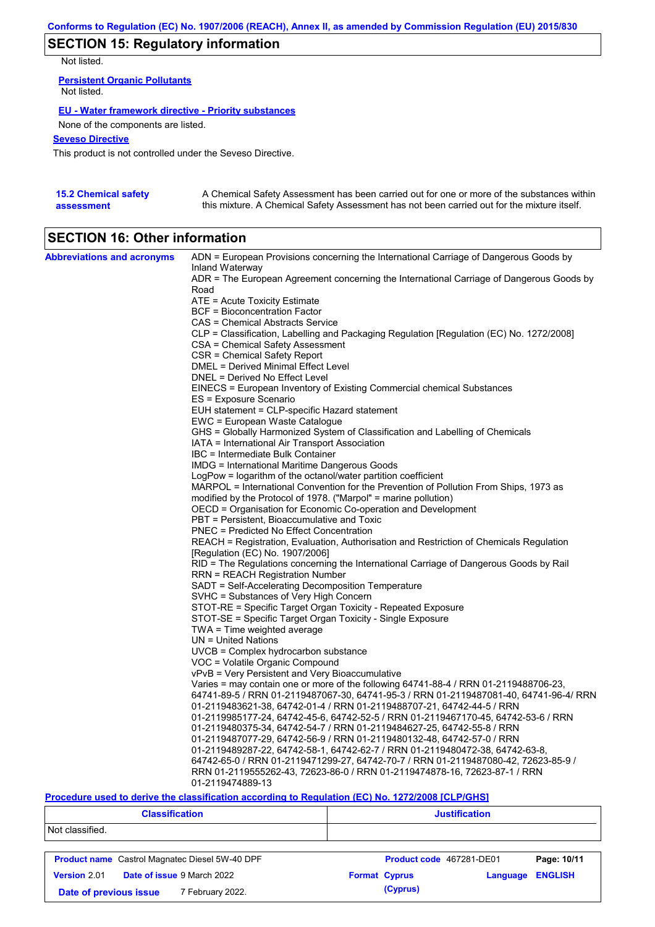# **SECTION 15: Regulatory information**

Not listed.

**Persistent Organic Pollutants** Not listed.

### **EU - Water framework directive - Priority substances**

None of the components are listed.

### **Seveso Directive**

This product is not controlled under the Seveso Directive.

| <b>15.2 Chemical safety</b> | A Chemical Safety Assessment has been carried out for one or more of the substances within  |
|-----------------------------|---------------------------------------------------------------------------------------------|
| assessment                  | this mixture. A Chemical Safety Assessment has not been carried out for the mixture itself. |

# **SECTION 16: Other information**

| <b>Abbreviations and acronyms</b> | ADN = European Provisions concerning the International Carriage of Dangerous Goods by<br>Inland Waterway |
|-----------------------------------|----------------------------------------------------------------------------------------------------------|
|                                   | ADR = The European Agreement concerning the International Carriage of Dangerous Goods by<br>Road         |
|                                   | ATE = Acute Toxicity Estimate                                                                            |
|                                   | <b>BCF</b> = Bioconcentration Factor                                                                     |
|                                   | CAS = Chemical Abstracts Service                                                                         |
|                                   |                                                                                                          |
|                                   | CLP = Classification, Labelling and Packaging Regulation [Regulation (EC) No. 1272/2008]                 |
|                                   | CSA = Chemical Safety Assessment                                                                         |
|                                   | CSR = Chemical Safety Report                                                                             |
|                                   | DMEL = Derived Minimal Effect Level                                                                      |
|                                   | DNEL = Derived No Effect Level                                                                           |
|                                   | EINECS = European Inventory of Existing Commercial chemical Substances                                   |
|                                   | ES = Exposure Scenario                                                                                   |
|                                   | EUH statement = CLP-specific Hazard statement                                                            |
|                                   | EWC = European Waste Catalogue                                                                           |
|                                   | GHS = Globally Harmonized System of Classification and Labelling of Chemicals                            |
|                                   | IATA = International Air Transport Association                                                           |
|                                   | IBC = Intermediate Bulk Container                                                                        |
|                                   | IMDG = International Maritime Dangerous Goods                                                            |
|                                   | LogPow = logarithm of the octanol/water partition coefficient                                            |
|                                   | MARPOL = International Convention for the Prevention of Pollution From Ships, 1973 as                    |
|                                   | modified by the Protocol of 1978. ("Marpol" = marine pollution)                                          |
|                                   | OECD = Organisation for Economic Co-operation and Development                                            |
|                                   | PBT = Persistent, Bioaccumulative and Toxic                                                              |
|                                   | <b>PNEC</b> = Predicted No Effect Concentration                                                          |
|                                   | REACH = Registration, Evaluation, Authorisation and Restriction of Chemicals Regulation                  |
|                                   | [Regulation (EC) No. 1907/2006]                                                                          |
|                                   | RID = The Regulations concerning the International Carriage of Dangerous Goods by Rail                   |
|                                   | RRN = REACH Registration Number                                                                          |
|                                   | SADT = Self-Accelerating Decomposition Temperature                                                       |
|                                   | SVHC = Substances of Very High Concern                                                                   |
|                                   | STOT-RE = Specific Target Organ Toxicity - Repeated Exposure                                             |
|                                   | STOT-SE = Specific Target Organ Toxicity - Single Exposure                                               |
|                                   | TWA = Time weighted average                                                                              |
|                                   | $UN = United Nations$                                                                                    |
|                                   | $UVCB = Complex\;hydrocarbon\; substance$                                                                |
|                                   | VOC = Volatile Organic Compound                                                                          |
|                                   | vPvB = Very Persistent and Very Bioaccumulative                                                          |
|                                   | Varies = may contain one or more of the following 64741-88-4 / RRN 01-2119488706-23,                     |
|                                   | 64741-89-5 / RRN 01-2119487067-30, 64741-95-3 / RRN 01-2119487081-40, 64741-96-4/ RRN                    |
|                                   |                                                                                                          |
|                                   | 01-2119483621-38, 64742-01-4 / RRN 01-2119488707-21, 64742-44-5 / RRN                                    |
|                                   | 01-2119985177-24, 64742-45-6, 64742-52-5 / RRN 01-2119467170-45, 64742-53-6 / RRN                        |
|                                   | 01-2119480375-34, 64742-54-7 / RRN 01-2119484627-25, 64742-55-8 / RRN                                    |
|                                   | 01-2119487077-29, 64742-56-9 / RRN 01-2119480132-48, 64742-57-0 / RRN                                    |
|                                   | 01-2119489287-22, 64742-58-1, 64742-62-7 / RRN 01-2119480472-38, 64742-63-8,                             |
|                                   | 64742-65-0 / RRN 01-2119471299-27, 64742-70-7 / RRN 01-2119487080-42, 72623-85-9 /                       |
|                                   | RRN 01-2119555262-43, 72623-86-0 / RRN 01-2119474878-16, 72623-87-1 / RRN                                |
|                                   | 01-2119474889-13                                                                                         |

### **Procedure used to derive the classification according to Regulation (EC) No. 1272/2008 [CLP/GHS]**

| <b>Classification</b>                                 | <b>Justification</b>                               |  |  |
|-------------------------------------------------------|----------------------------------------------------|--|--|
| Not classified.                                       |                                                    |  |  |
| <b>Product name</b> Castrol Magnatec Diesel 5W-40 DPF | Page: 10/11<br>Product code 467281-DE01            |  |  |
| <b>Date of issue 9 March 2022</b><br>Version 2.01     | <b>ENGLISH</b><br><b>Format Cyprus</b><br>Language |  |  |
| 7 February 2022.<br>Date of previous issue            | (Cyprus)                                           |  |  |